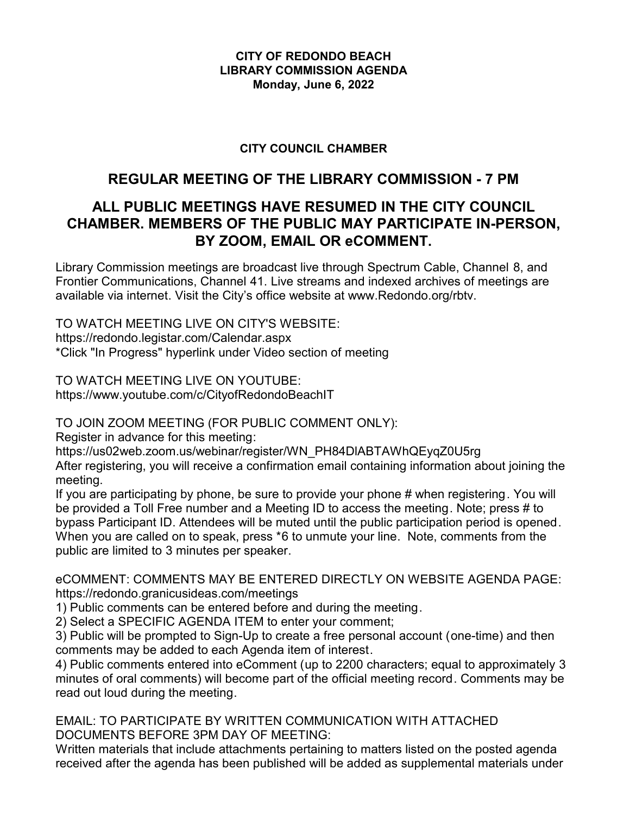#### **CITY OF REDONDO BEACH LIBRARY COMMISSION AGENDA Monday, June 6, 2022**

### **CITY COUNCIL CHAMBER**

# **REGULAR MEETING OF THE LIBRARY COMMISSION - 7 PM**

# **ALL PUBLIC MEETINGS HAVE RESUMED IN THE CITY COUNCIL CHAMBER. MEMBERS OF THE PUBLIC MAY PARTICIPATE IN-PERSON, BY ZOOM, EMAIL OR eCOMMENT.**

Library Commission meetings are broadcast live through Spectrum Cable, Channel 8, and Frontier Communications, Channel 41. Live streams and indexed archives of meetings are available via internet. Visit the City's office website at www.Redondo.org/rbtv.

TO WATCH MEETING LIVE ON CITY'S WEBSITE: https://redondo.legistar.com/Calendar.aspx \*Click "In Progress" hyperlink under Video section of meeting

TO WATCH MEETING LIVE ON YOUTUBE: https://www.youtube.com/c/CityofRedondoBeachIT

TO JOIN ZOOM MEETING (FOR PUBLIC COMMENT ONLY):

Register in advance for this meeting:

https://us02web.zoom.us/webinar/register/WN\_PH84DlABTAWhQEyqZ0U5rg

After registering, you will receive a confirmation email containing information about joining the meeting.

If you are participating by phone, be sure to provide your phone # when registering. You will be provided a Toll Free number and a Meeting ID to access the meeting. Note; press # to bypass Participant ID. Attendees will be muted until the public participation period is opened. When you are called on to speak, press \*6 to unmute your line. Note, comments from the public are limited to 3 minutes per speaker.

eCOMMENT: COMMENTS MAY BE ENTERED DIRECTLY ON WEBSITE AGENDA PAGE: https://redondo.granicusideas.com/meetings

1) Public comments can be entered before and during the meeting.

2) Select a SPECIFIC AGENDA ITEM to enter your comment;

3) Public will be prompted to Sign-Up to create a free personal account (one-time) and then comments may be added to each Agenda item of interest.

4) Public comments entered into eComment (up to 2200 characters; equal to approximately 3 minutes of oral comments) will become part of the official meeting record. Comments may be read out loud during the meeting.

EMAIL: TO PARTICIPATE BY WRITTEN COMMUNICATION WITH ATTACHED DOCUMENTS BEFORE 3PM DAY OF MEETING:

Written materials that include attachments pertaining to matters listed on the posted agenda received after the agenda has been published will be added as supplemental materials under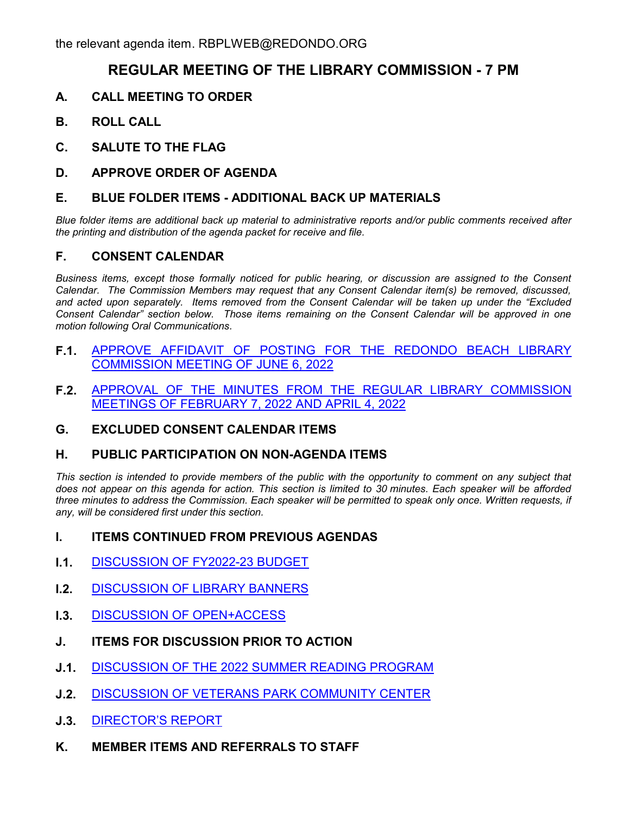## **REGULAR MEETING OF THE LIBRARY COMMISSION - 7 PM**

- **A. CALL MEETING TO ORDER**
- **B. ROLL CALL**
- **C. SALUTE TO THE FLAG**
- **D. APPROVE ORDER OF AGENDA**

#### **E. BLUE FOLDER ITEMS - ADDITIONAL BACK UP MATERIALS**

*Blue folder items are additional back up material to administrative reports and/or public comments received after the printing and distribution of the agenda packet for receive and file.*

#### **F. CONSENT CALENDAR**

*Business items, except those formally noticed for public hearing, or discussion are assigned to the Consent Calendar. The Commission Members may request that any Consent Calendar item(s) be removed, discussed, and acted upon separately. Items removed from the Consent Calendar will be taken up under the "Excluded Consent Calendar" section below. Those items remaining on the Consent Calendar will be approved in one motion following Oral Communications.*

- **F.1.** [APPROVE AFFIDAVIT OF POSTING FOR THE REDONDO BEACH LIBRARY](http://redondo.legistar.com/gateway.aspx?m=l&id=/matter.aspx?key=5793) COMMISSION MEETING OF JUNE 6, 2022
- **F.2.** [APPROVAL OF THE MINUTES FROM THE REGULAR LIBRARY COMMISSION](http://redondo.legistar.com/gateway.aspx?m=l&id=/matter.aspx?key=5794) MEETINGS OF FEBRUARY 7, 2022 AND APRIL 4, 2022

## **G. EXCLUDED CONSENT CALENDAR ITEMS**

#### **H. PUBLIC PARTICIPATION ON NON-AGENDA ITEMS**

This section is intended to provide members of the public with the opportunity to comment on any subject that *does not appear on this agenda for action. This section is limited to 30 minutes. Each speaker will be afforded three minutes to address the Commission. Each speaker will be permitted to speak only once. Written requests, if any, will be considered first under this section.*

## **I. ITEMS CONTINUED FROM PREVIOUS AGENDAS**

- **I.1.** [DISCUSSION OF FY2022-23 BUDGET](http://redondo.legistar.com/gateway.aspx?m=l&id=/matter.aspx?key=5574)
- **I.2.** [DISCUSSION OF LIBRARY BANNERS](http://redondo.legistar.com/gateway.aspx?m=l&id=/matter.aspx?key=5575)
- **I.3.** [DISCUSSION OF OPEN+ACCESS](http://redondo.legistar.com/gateway.aspx?m=l&id=/matter.aspx?key=5576)
- **J. ITEMS FOR DISCUSSION PRIOR TO ACTION**
- **J.1.** [DISCUSSION OF THE 2022 SUMMER READING PROGRAM](http://redondo.legistar.com/gateway.aspx?m=l&id=/matter.aspx?key=5573)
- **J.2.** [DISCUSSION OF VETERANS PARK COMMUNITY CENTER](http://redondo.legistar.com/gateway.aspx?m=l&id=/matter.aspx?key=5774)
- **J.3.** [DIRECTOR'S REPORT](http://redondo.legistar.com/gateway.aspx?m=l&id=/matter.aspx?key=5755)
- **K. MEMBER ITEMS AND REFERRALS TO STAFF**